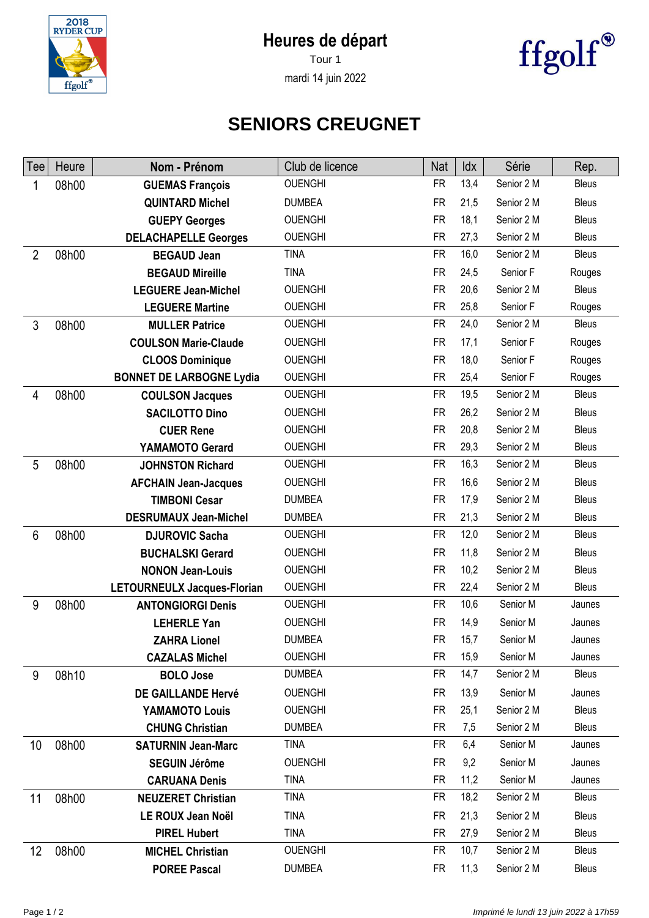## **Heures de départ**



Tour 1 mardi 14 juin 2022



## **SENIORS CREUGNET**

| Tee            | Heure | Nom - Prénom                    | Club de licence | <b>Nat</b> | Idx  | Série      | Rep.         |
|----------------|-------|---------------------------------|-----------------|------------|------|------------|--------------|
| 1              | 08h00 | <b>GUEMAS François</b>          | <b>OUENGHI</b>  | <b>FR</b>  | 13,4 | Senior 2 M | <b>Bleus</b> |
|                |       | <b>QUINTARD Michel</b>          | <b>DUMBEA</b>   | <b>FR</b>  | 21,5 | Senior 2 M | <b>Bleus</b> |
|                |       | <b>GUEPY Georges</b>            | <b>OUENGHI</b>  | <b>FR</b>  | 18,1 | Senior 2 M | <b>Bleus</b> |
|                |       | <b>DELACHAPELLE Georges</b>     | <b>OUENGHI</b>  | <b>FR</b>  | 27,3 | Senior 2 M | <b>Bleus</b> |
| $\overline{2}$ | 08h00 | <b>BEGAUD Jean</b>              | <b>TINA</b>     | <b>FR</b>  | 16,0 | Senior 2 M | <b>Bleus</b> |
|                |       | <b>BEGAUD Mireille</b>          | <b>TINA</b>     | <b>FR</b>  | 24,5 | Senior F   | Rouges       |
|                |       | <b>LEGUERE Jean-Michel</b>      | <b>OUENGHI</b>  | <b>FR</b>  | 20,6 | Senior 2 M | <b>Bleus</b> |
|                |       | <b>LEGUERE Martine</b>          | <b>OUENGHI</b>  | <b>FR</b>  | 25,8 | Senior F   | Rouges       |
| 3              | 08h00 | <b>MULLER Patrice</b>           | <b>OUENGHI</b>  | <b>FR</b>  | 24,0 | Senior 2 M | <b>Bleus</b> |
|                |       | <b>COULSON Marie-Claude</b>     | <b>OUENGHI</b>  | <b>FR</b>  | 17,1 | Senior F   | Rouges       |
|                |       | <b>CLOOS Dominique</b>          | <b>OUENGHI</b>  | <b>FR</b>  | 18,0 | Senior F   | Rouges       |
|                |       | <b>BONNET DE LARBOGNE Lydia</b> | <b>OUENGHI</b>  | <b>FR</b>  | 25,4 | Senior F   | Rouges       |
| 4              | 08h00 | <b>COULSON Jacques</b>          | <b>OUENGHI</b>  | <b>FR</b>  | 19,5 | Senior 2 M | <b>Bleus</b> |
|                |       | <b>SACILOTTO Dino</b>           | <b>OUENGHI</b>  | <b>FR</b>  | 26,2 | Senior 2 M | <b>Bleus</b> |
|                |       | <b>CUER Rene</b>                | <b>OUENGHI</b>  | <b>FR</b>  | 20,8 | Senior 2 M | <b>Bleus</b> |
|                |       | YAMAMOTO Gerard                 | <b>OUENGHI</b>  | <b>FR</b>  | 29,3 | Senior 2 M | <b>Bleus</b> |
| 5              | 08h00 | <b>JOHNSTON Richard</b>         | <b>OUENGHI</b>  | <b>FR</b>  | 16,3 | Senior 2 M | <b>Bleus</b> |
|                |       | <b>AFCHAIN Jean-Jacques</b>     | <b>OUENGHI</b>  | <b>FR</b>  | 16,6 | Senior 2 M | <b>Bleus</b> |
|                |       | <b>TIMBONI Cesar</b>            | <b>DUMBEA</b>   | <b>FR</b>  | 17,9 | Senior 2 M | <b>Bleus</b> |
|                |       | <b>DESRUMAUX Jean-Michel</b>    | <b>DUMBEA</b>   | <b>FR</b>  | 21,3 | Senior 2 M | <b>Bleus</b> |
| 6              | 08h00 | <b>DJUROVIC Sacha</b>           | <b>OUENGHI</b>  | <b>FR</b>  | 12,0 | Senior 2 M | <b>Bleus</b> |
|                |       | <b>BUCHALSKI Gerard</b>         | <b>OUENGHI</b>  | <b>FR</b>  | 11,8 | Senior 2 M | <b>Bleus</b> |
|                |       | <b>NONON Jean-Louis</b>         | <b>OUENGHI</b>  | <b>FR</b>  | 10,2 | Senior 2 M | <b>Bleus</b> |
|                |       | LETOURNEULX Jacques-Florian     | <b>OUENGHI</b>  | <b>FR</b>  | 22,4 | Senior 2 M | <b>Bleus</b> |
| 9              | 08h00 | <b>ANTONGIORGI Denis</b>        | <b>OUENGHI</b>  | <b>FR</b>  | 10,6 | Senior M   | Jaunes       |
|                |       | <b>LEHERLE Yan</b>              | <b>OUENGHI</b>  | <b>FR</b>  | 14,9 | Senior M   | Jaunes       |
|                |       | <b>ZAHRA Lionel</b>             | <b>DUMBEA</b>   | <b>FR</b>  | 15,7 | Senior M   | Jaunes       |
|                |       | <b>CAZALAS Michel</b>           | <b>OUENGHI</b>  | <b>FR</b>  | 15,9 | Senior M   | Jaunes       |
| 9              | 08h10 | <b>BOLO Jose</b>                | <b>DUMBEA</b>   | FR         | 14,7 | Senior 2 M | <b>Bleus</b> |
|                |       | <b>DE GAILLANDE Hervé</b>       | <b>OUENGHI</b>  | <b>FR</b>  | 13,9 | Senior M   | Jaunes       |
|                |       | YAMAMOTO Louis                  | <b>OUENGHI</b>  | <b>FR</b>  | 25,1 | Senior 2 M | <b>Bleus</b> |
|                |       | <b>CHUNG Christian</b>          | <b>DUMBEA</b>   | <b>FR</b>  | 7,5  | Senior 2 M | <b>Bleus</b> |
| 10             | 08h00 | <b>SATURNIN Jean-Marc</b>       | <b>TINA</b>     | <b>FR</b>  | 6,4  | Senior M   | Jaunes       |
|                |       | <b>SEGUIN Jérôme</b>            | <b>OUENGHI</b>  | <b>FR</b>  | 9,2  | Senior M   | Jaunes       |
|                |       | <b>CARUANA Denis</b>            | <b>TINA</b>     | <b>FR</b>  | 11,2 | Senior M   | Jaunes       |
| 11             | 08h00 | <b>NEUZERET Christian</b>       | <b>TINA</b>     | <b>FR</b>  | 18,2 | Senior 2 M | <b>Bleus</b> |
|                |       | LE ROUX Jean Noël               | <b>TINA</b>     | <b>FR</b>  | 21,3 | Senior 2 M | <b>Bleus</b> |
|                |       | <b>PIREL Hubert</b>             | <b>TINA</b>     | <b>FR</b>  | 27,9 | Senior 2 M | <b>Bleus</b> |
| 12             | 08h00 | <b>MICHEL Christian</b>         | <b>OUENGHI</b>  | <b>FR</b>  | 10,7 | Senior 2 M | <b>Bleus</b> |
|                |       | <b>POREE Pascal</b>             | <b>DUMBEA</b>   | <b>FR</b>  | 11,3 | Senior 2 M | <b>Bleus</b> |